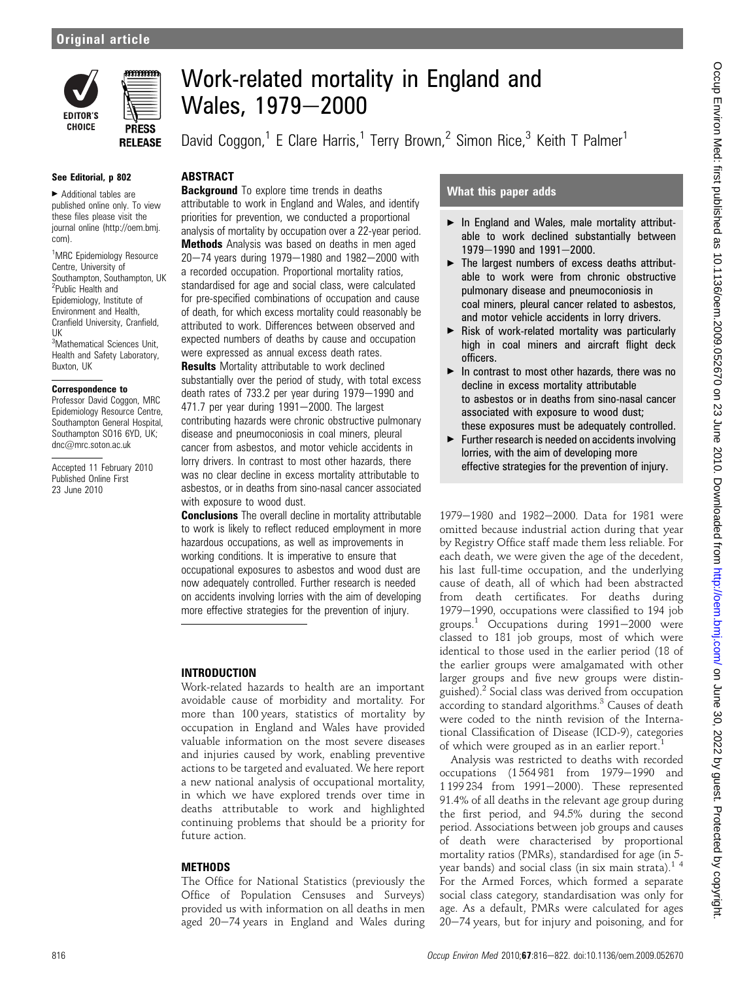

# Work-related mortality in England and Wales, 1979-2000

David Coggon,<sup>1</sup> E Clare Harris,<sup>1</sup> Terry Brown,<sup>2</sup> Simon Rice,<sup>3</sup> Keith T Palmer<sup>1</sup>

#### See Editorial, p 802

< Additional tables are published online only. To view these files please visit the journal online (http://oem.bmj. com).

<sup>1</sup>MRC Epidemiology Resource Centre, University of Southampton, Southampton, UK <sup>2</sup>Public Health and Epidemiology, Institute of Environment and Health, Cranfield University, Cranfield, UK

<sup>3</sup>Mathematical Sciences Unit, Health and Safety Laboratory, Buxton, UK

#### Correspondence to

Professor David Coggon, MRC Epidemiology Resource Centre, Southampton General Hospital Southampton SO16 6YD, UK; dnc@mrc.soton.ac.uk

Accepted 11 February 2010 Published Online First 23 June 2010

ABSTRACT

**Background** To explore time trends in deaths attributable to work in England and Wales, and identify priorities for prevention, we conducted a proportional analysis of mortality by occupation over a 22-year period. **Methods** Analysis was based on deaths in men aged  $20 - 74$  years during 1979 $-1980$  and 1982 $-2000$  with a recorded occupation. Proportional mortality ratios, standardised for age and social class, were calculated for pre-specified combinations of occupation and cause of death, for which excess mortality could reasonably be attributed to work. Differences between observed and expected numbers of deaths by cause and occupation were expressed as annual excess death rates.

**Results** Mortality attributable to work declined substantially over the period of study, with total excess death rates of  $733.2$  per year during  $1979-1990$  and 471.7 per year during 1991-2000. The largest contributing hazards were chronic obstructive pulmonary disease and pneumoconiosis in coal miners, pleural cancer from asbestos, and motor vehicle accidents in lorry drivers. In contrast to most other hazards, there was no clear decline in excess mortality attributable to asbestos, or in deaths from sino-nasal cancer associated with exposure to wood dust.

**Conclusions** The overall decline in mortality attributable to work is likely to reflect reduced employment in more hazardous occupations, as well as improvements in working conditions. It is imperative to ensure that occupational exposures to asbestos and wood dust are now adequately controlled. Further research is needed on accidents involving lorries with the aim of developing more effective strategies for the prevention of injury.

#### INTRODUCTION

Work-related hazards to health are an important avoidable cause of morbidity and mortality. For more than 100 years, statistics of mortality by occupation in England and Wales have provided valuable information on the most severe diseases and injuries caused by work, enabling preventive actions to be targeted and evaluated. We here report a new national analysis of occupational mortality, in which we have explored trends over time in deaths attributable to work and highlighted continuing problems that should be a priority for future action.

#### **METHODS**

The Office for National Statistics (previously the Office of Population Censuses and Surveys) provided us with information on all deaths in men aged  $20-74$  years in England and Wales during

#### What this paper adds

- In England and Wales, male mortality attributable to work declined substantially between  $1979 - 1990$  and  $1991 - 2000$ .
- $\blacktriangleright$  The largest numbers of excess deaths attributable to work were from chronic obstructive pulmonary disease and pneumoconiosis in coal miners, pleural cancer related to asbestos, and motor vehicle accidents in lorry drivers.
- $\blacktriangleright$  Risk of work-related mortality was particularly high in coal miners and aircraft flight deck officers.
- $\blacktriangleright$  In contrast to most other hazards, there was no decline in excess mortality attributable to asbestos or in deaths from sino-nasal cancer associated with exposure to wood dust; these exposures must be adequately controlled.
- $\blacktriangleright$  Further research is needed on accidents involving lorries, with the aim of developing more effective strategies for the prevention of injury.

1979-1980 and 1982-2000. Data for 1981 were omitted because industrial action during that year by Registry Office staff made them less reliable. For each death, we were given the age of the decedent, his last full-time occupation, and the underlying cause of death, all of which had been abstracted from death certificates. For deaths during  $1979-1990$ , occupations were classified to 194 job groups.<sup>1</sup> Occupations during  $1991-2000$  were classed to 181 job groups, most of which were identical to those used in the earlier period (18 of the earlier groups were amalgamated with other larger groups and five new groups were distinguished).<sup>2</sup> Social class was derived from occupation according to standard algorithms.<sup>3</sup> Causes of death were coded to the ninth revision of the International Classification of Disease (ICD-9), categories of which were grouped as in an earlier report.<sup>1</sup>

Analysis was restricted to deaths with recorded occupations (1564981 from 1979-1990 and 1 199 234 from 1991-2000). These represented 91.4% of all deaths in the relevant age group during the first period, and 94.5% during the second period. Associations between job groups and causes of death were characterised by proportional mortality ratios (PMRs), standardised for age (in 5 year bands) and social class (in six main strata).<sup>14</sup> For the Armed Forces, which formed a separate social class category, standardisation was only for age. As a default, PMRs were calculated for ages  $20 - 74$  years, but for injury and poisoning, and for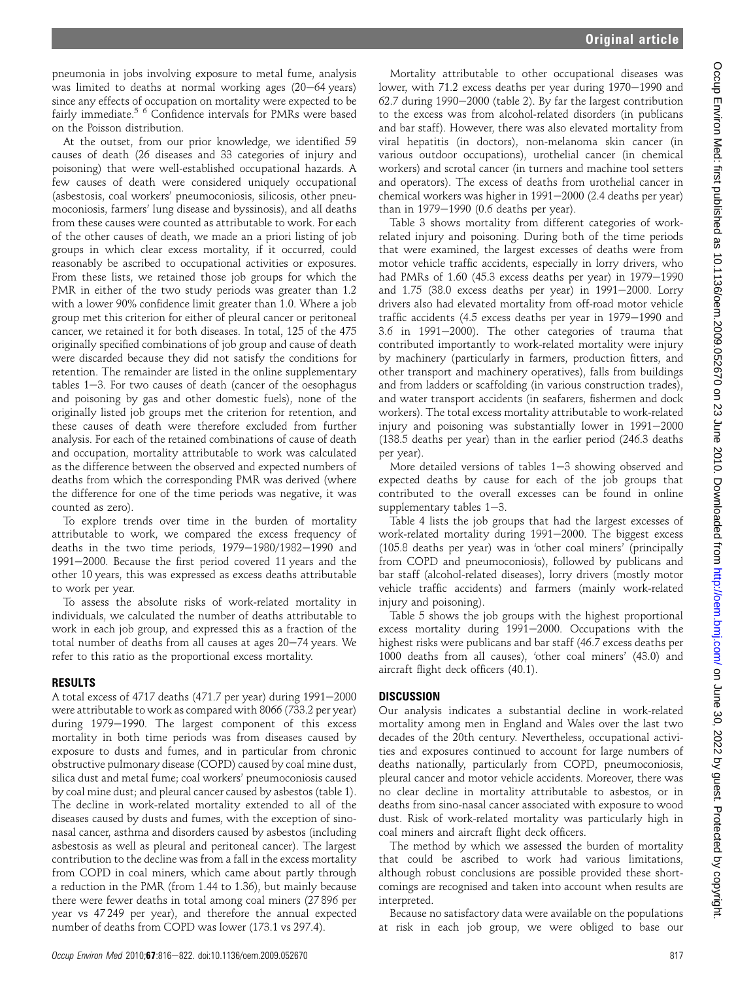pneumonia in jobs involving exposure to metal fume, analysis was limited to deaths at normal working ages  $(20-64 \text{ years})$ since any effects of occupation on mortality were expected to be fairly immediate.5 6 Confidence intervals for PMRs were based on the Poisson distribution.

At the outset, from our prior knowledge, we identified 59 causes of death (26 diseases and 33 categories of injury and poisoning) that were well-established occupational hazards. A few causes of death were considered uniquely occupational (asbestosis, coal workers' pneumoconiosis, silicosis, other pneumoconiosis, farmers' lung disease and byssinosis), and all deaths from these causes were counted as attributable to work. For each of the other causes of death, we made an a priori listing of job groups in which clear excess mortality, if it occurred, could reasonably be ascribed to occupational activities or exposures. From these lists, we retained those job groups for which the PMR in either of the two study periods was greater than 1.2 with a lower 90% confidence limit greater than 1.0. Where a job group met this criterion for either of pleural cancer or peritoneal cancer, we retained it for both diseases. In total, 125 of the 475 originally specified combinations of job group and cause of death were discarded because they did not satisfy the conditions for retention. The remainder are listed in the online supplementary tables  $1-3$ . For two causes of death (cancer of the oesophagus and poisoning by gas and other domestic fuels), none of the originally listed job groups met the criterion for retention, and these causes of death were therefore excluded from further analysis. For each of the retained combinations of cause of death and occupation, mortality attributable to work was calculated as the difference between the observed and expected numbers of deaths from which the corresponding PMR was derived (where the difference for one of the time periods was negative, it was counted as zero).

To explore trends over time in the burden of mortality attributable to work, we compared the excess frequency of deaths in the two time periods, 1979-1980/1982-1990 and 1991-2000. Because the first period covered 11 years and the other 10 years, this was expressed as excess deaths attributable to work per year.

To assess the absolute risks of work-related mortality in individuals, we calculated the number of deaths attributable to work in each job group, and expressed this as a fraction of the total number of deaths from all causes at ages  $20-74$  years. We refer to this ratio as the proportional excess mortality.

#### RESULTS

A total excess of  $4717$  deaths  $(471.7$  per year) during  $1991-2000$ were attributable to work as compared with 8066 (733.2 per year) during 1979-1990. The largest component of this excess mortality in both time periods was from diseases caused by exposure to dusts and fumes, and in particular from chronic obstructive pulmonary disease (COPD) caused by coal mine dust, silica dust and metal fume; coal workers' pneumoconiosis caused by coal mine dust; and pleural cancer caused by asbestos (table 1). The decline in work-related mortality extended to all of the diseases caused by dusts and fumes, with the exception of sinonasal cancer, asthma and disorders caused by asbestos (including asbestosis as well as pleural and peritoneal cancer). The largest contribution to the decline was from a fall in the excess mortality from COPD in coal miners, which came about partly through a reduction in the PMR (from 1.44 to 1.36), but mainly because there were fewer deaths in total among coal miners (27 896 per year vs 47 249 per year), and therefore the annual expected number of deaths from COPD was lower (173.1 vs 297.4).

Mortality attributable to other occupational diseases was lower, with 71.2 excess deaths per year during 1970–1990 and 62.7 during  $1990-2000$  (table 2). By far the largest contribution to the excess was from alcohol-related disorders (in publicans and bar staff). However, there was also elevated mortality from viral hepatitis (in doctors), non-melanoma skin cancer (in various outdoor occupations), urothelial cancer (in chemical workers) and scrotal cancer (in turners and machine tool setters and operators). The excess of deaths from urothelial cancer in chemical workers was higher in  $1991-2000$  (2.4 deaths per year) than in  $1979-1990$  (0.6 deaths per year).

Table 3 shows mortality from different categories of workrelated injury and poisoning. During both of the time periods that were examined, the largest excesses of deaths were from motor vehicle traffic accidents, especially in lorry drivers, who had PMRs of  $1.60$  (45.3 excess deaths per year) in  $1979-1990$ and  $1.75$  (38.0 excess deaths per year) in  $1991-2000$ . Lorry drivers also had elevated mortality from off-road motor vehicle traffic accidents (4.5 excess deaths per year in 1979-1990 and  $3.6$  in  $1991-2000$ ). The other categories of trauma that contributed importantly to work-related mortality were injury by machinery (particularly in farmers, production fitters, and other transport and machinery operatives), falls from buildings and from ladders or scaffolding (in various construction trades), and water transport accidents (in seafarers, fishermen and dock workers). The total excess mortality attributable to work-related injury and poisoning was substantially lower in  $1991-2000$ (138.5 deaths per year) than in the earlier period (246.3 deaths per year).

More detailed versions of tables  $1-3$  showing observed and expected deaths by cause for each of the job groups that contributed to the overall excesses can be found in online supplementary tables  $1-3$ .

Table 4 lists the job groups that had the largest excesses of work-related mortality during 1991-2000. The biggest excess (105.8 deaths per year) was in 'other coal miners' (principally from COPD and pneumoconiosis), followed by publicans and bar staff (alcohol-related diseases), lorry drivers (mostly motor vehicle traffic accidents) and farmers (mainly work-related injury and poisoning).

Table 5 shows the job groups with the highest proportional excess mortality during 1991-2000. Occupations with the highest risks were publicans and bar staff (46.7 excess deaths per 1000 deaths from all causes), 'other coal miners' (43.0) and aircraft flight deck officers (40.1).

#### **DISCUSSION**

Our analysis indicates a substantial decline in work-related mortality among men in England and Wales over the last two decades of the 20th century. Nevertheless, occupational activities and exposures continued to account for large numbers of deaths nationally, particularly from COPD, pneumoconiosis, pleural cancer and motor vehicle accidents. Moreover, there was no clear decline in mortality attributable to asbestos, or in deaths from sino-nasal cancer associated with exposure to wood dust. Risk of work-related mortality was particularly high in coal miners and aircraft flight deck officers.

The method by which we assessed the burden of mortality that could be ascribed to work had various limitations, although robust conclusions are possible provided these shortcomings are recognised and taken into account when results are interpreted.

Because no satisfactory data were available on the populations at risk in each job group, we were obliged to base our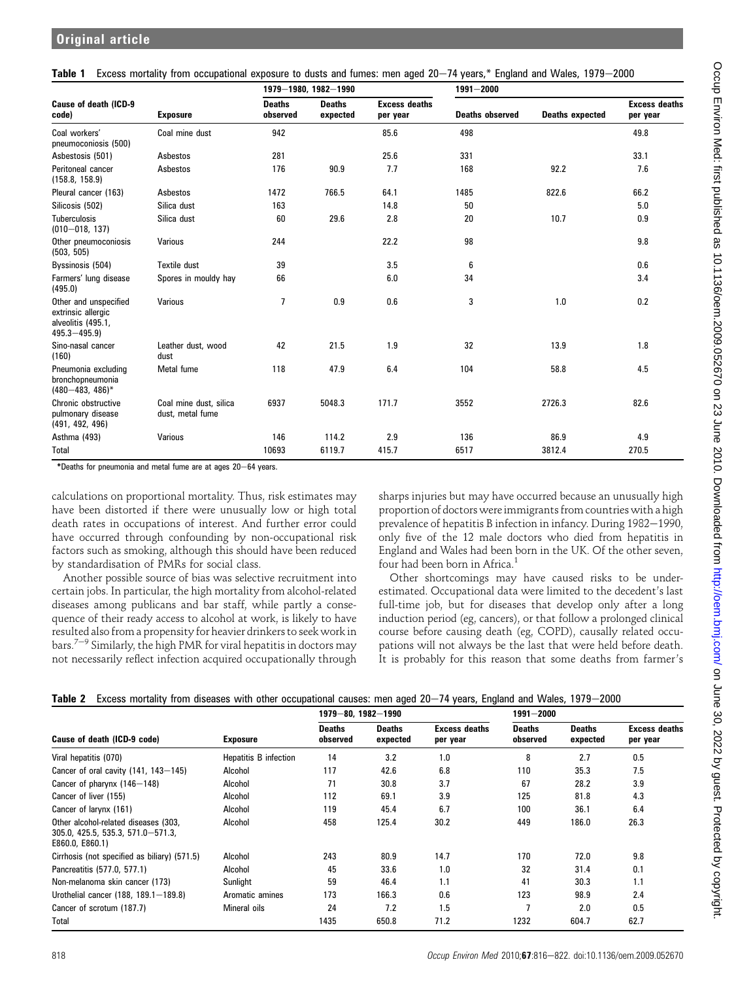| Table 1 Excess mortality from occupational exposure to dusts and fumes: men aged 20-74 years,* England and Wales, 1979-2000 |  |  |  |  |  |  |  |
|-----------------------------------------------------------------------------------------------------------------------------|--|--|--|--|--|--|--|
|-----------------------------------------------------------------------------------------------------------------------------|--|--|--|--|--|--|--|

|                                                                                      | <b>Exposure</b>                            | 1979-1980, 1982-1990      |                           |                                  | 1991-2000              |                        |                                  |
|--------------------------------------------------------------------------------------|--------------------------------------------|---------------------------|---------------------------|----------------------------------|------------------------|------------------------|----------------------------------|
| Cause of death (ICD-9<br>code)                                                       |                                            | <b>Deaths</b><br>observed | <b>Deaths</b><br>expected | <b>Excess deaths</b><br>per year | <b>Deaths observed</b> | <b>Deaths expected</b> | <b>Excess deaths</b><br>per year |
| Coal workers'<br>pneumoconiosis (500)                                                | Coal mine dust                             | 942                       |                           | 85.6                             | 498                    |                        | 49.8                             |
| Asbestosis (501)                                                                     | Asbestos                                   | 281                       |                           | 25.6                             | 331                    |                        | 33.1                             |
| Peritoneal cancer<br>(158.8, 158.9)                                                  | Asbestos                                   | 176                       | 90.9                      | 7.7                              | 168                    | 92.2                   | 7.6                              |
| Pleural cancer (163)                                                                 | Asbestos                                   | 1472                      | 766.5                     | 64.1                             | 1485                   | 822.6                  | 66.2                             |
| Silicosis (502)                                                                      | Silica dust                                | 163                       |                           | 14.8                             | 50                     |                        | 5.0                              |
| <b>Tuberculosis</b><br>$(010 - 018, 137)$                                            | Silica dust                                | 60                        | 29.6                      | 2.8                              | 20                     | 10.7                   | 0.9                              |
| Other pneumoconiosis<br>(503, 505)                                                   | Various                                    | 244                       |                           | 22.2                             | 98                     |                        | 9.8                              |
| Byssinosis (504)                                                                     | Textile dust                               | 39                        |                           | 3.5                              | 6                      |                        | 0.6                              |
| Farmers' lung disease<br>(495.0)                                                     | Spores in mouldy hay                       | 66                        |                           | 6.0                              | 34                     |                        | 3.4                              |
| Other and unspecified<br>extrinsic allergic<br>alveolitis (495.1,<br>$495.3 - 495.9$ | Various                                    | $\overline{1}$            | 0.9                       | 0.6                              | 3                      | 1.0                    | 0.2                              |
| Sino-nasal cancer<br>(160)                                                           | Leather dust, wood<br>dust                 | 42                        | 21.5                      | 1.9                              | 32                     | 13.9                   | 1.8                              |
| Pneumonia excluding<br>bronchopneumonia<br>$(480 - 483, 486)^*$                      | Metal fume                                 | 118                       | 47.9                      | 6.4                              | 104                    | 58.8                   | 4.5                              |
| Chronic obstructive<br>pulmonary disease<br>(491, 492, 496)                          | Coal mine dust, silica<br>dust, metal fume | 6937                      | 5048.3                    | 171.7                            | 3552                   | 2726.3                 | 82.6                             |
| Asthma (493)                                                                         | Various                                    | 146                       | 114.2                     | 2.9                              | 136                    | 86.9                   | 4.9                              |
| Total                                                                                |                                            | 10693                     | 6119.7                    | 415.7                            | 6517                   | 3812.4                 | 270.5                            |

\*Deaths for pneumonia and metal fume are at ages 20-64 years.

calculations on proportional mortality. Thus, risk estimates may have been distorted if there were unusually low or high total death rates in occupations of interest. And further error could have occurred through confounding by non-occupational risk factors such as smoking, although this should have been reduced by standardisation of PMRs for social class.

Another possible source of bias was selective recruitment into certain jobs. In particular, the high mortality from alcohol-related diseases among publicans and bar staff, while partly a consequence of their ready access to alcohol at work, is likely to have resulted also from a propensity for heavier drinkers to seek work in bars.<sup> $7-9$ </sup> Similarly, the high PMR for viral hepatitis in doctors may not necessarily reflect infection acquired occupationally through sharps injuries but may have occurred because an unusually high proportion of doctors were immigrants from countries with a high prevalence of hepatitis B infection in infancy. During  $1982-1990$ , only five of the 12 male doctors who died from hepatitis in England and Wales had been born in the UK. Of the other seven, four had been born in Africa.<sup>1</sup>

Other shortcomings may have caused risks to be underestimated. Occupational data were limited to the decedent's last full-time job, but for diseases that develop only after a long induction period (eg, cancers), or that follow a prolonged clinical course before causing death (eg, COPD), causally related occupations will not always be the last that were held before death. It is probably for this reason that some deaths from farmer's

| Table 2 Excess mortality from diseases with other occupational causes: men aged 20-74 years, England and Wales, 1979-2000 |  |  |  |  |  |
|---------------------------------------------------------------------------------------------------------------------------|--|--|--|--|--|
|                                                                                                                           |  |  |  |  |  |

|                                                                                                 |                              | 1979-80, 1982-1990        |                           |                                  | 1991-2000                 |                           |                                  |
|-------------------------------------------------------------------------------------------------|------------------------------|---------------------------|---------------------------|----------------------------------|---------------------------|---------------------------|----------------------------------|
| Cause of death (ICD-9 code)                                                                     | <b>Exposure</b>              | <b>Deaths</b><br>observed | <b>Deaths</b><br>expected | <b>Excess deaths</b><br>per year | <b>Deaths</b><br>observed | <b>Deaths</b><br>expected | <b>Excess deaths</b><br>per year |
| Viral hepatitis (070)                                                                           | <b>Hepatitis B infection</b> | 14                        | 3.2                       | 1.0                              | 8                         | 2.7                       | 0.5                              |
| Cancer of oral cavity $(141, 143 - 145)$                                                        | Alcohol                      | 117                       | 42.6                      | 6.8                              | 110                       | 35.3                      | 7.5                              |
| Cancer of pharynx $(146-148)$                                                                   | Alcohol                      | 71                        | 30.8                      | 3.7                              | 67                        | 28.2                      | 3.9                              |
| Cancer of liver (155)                                                                           | Alcohol                      | 112                       | 69.1                      | 3.9                              | 125                       | 81.8                      | 4.3                              |
| Cancer of larvnx (161)                                                                          | Alcohol                      | 119                       | 45.4                      | 6.7                              | 100                       | 36.1                      | 6.4                              |
| Other alcohol-related diseases (303,<br>$305.0, 425.5, 535.3, 571.0 - 571.3$<br>E860.0, E860.1) | Alcohol                      | 458                       | 125.4                     | 30.2                             | 449                       | 186.0                     | 26.3                             |
| Cirrhosis (not specified as biliary) (571.5)                                                    | Alcohol                      | 243                       | 80.9                      | 14.7                             | 170                       | 72.0                      | 9.8                              |
| Pancreatitis (577.0, 577.1)                                                                     | Alcohol                      | 45                        | 33.6                      | 1.0                              | 32                        | 31.4                      | 0.1                              |
| Non-melanoma skin cancer (173)                                                                  | Sunlight                     | 59                        | 46.4                      | 1.1                              | 41                        | 30.3                      | 1.1                              |
| Urothelial cancer (188, 189.1-189.8)                                                            | Aromatic amines              | 173                       | 166.3                     | 0.6                              | 123                       | 98.9                      | 2.4                              |
| Cancer of scrotum (187.7)                                                                       | Mineral oils                 | 24                        | 7.2                       | 1.5                              |                           | 2.0                       | 0.5                              |
| Total                                                                                           |                              | 1435                      | 650.8                     | 71.2                             | 1232                      | 604.7                     | 62.7                             |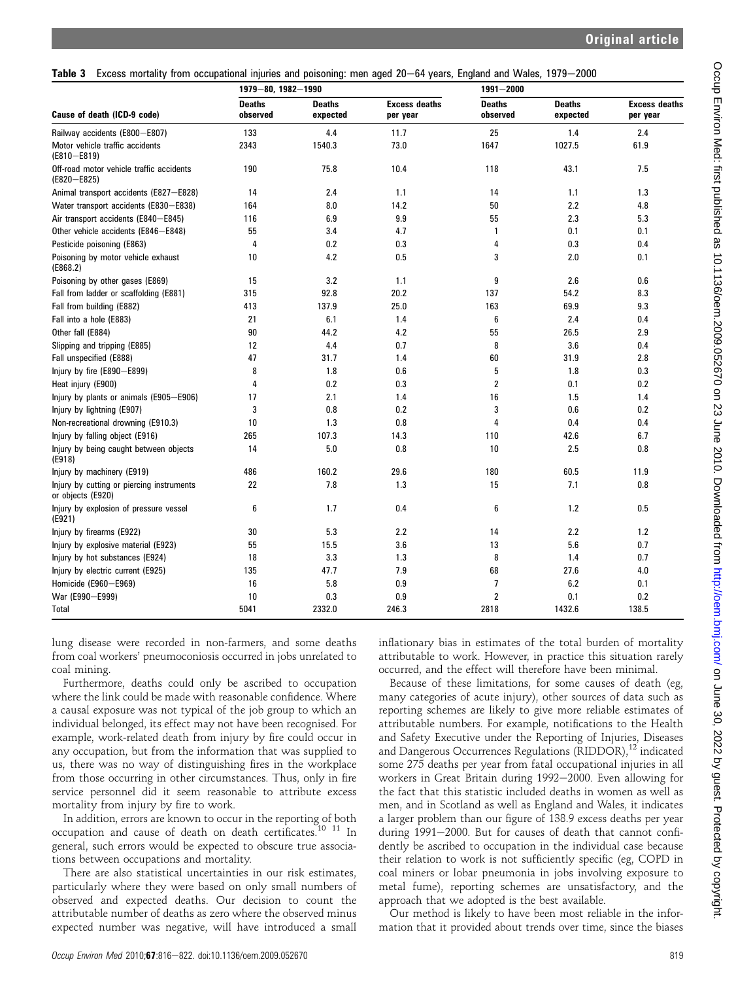Table 3 Excess mortality from occupational injuries and poisoning: men aged 20-64 years, England and Wales, 1979-2000

|                                                                | 1979-80, 1982-1990        |                           |                                  | $1991 - 2000$             |                           |                                  |
|----------------------------------------------------------------|---------------------------|---------------------------|----------------------------------|---------------------------|---------------------------|----------------------------------|
| Cause of death (ICD-9 code)                                    | <b>Deaths</b><br>observed | <b>Deaths</b><br>expected | <b>Excess deaths</b><br>per year | <b>Deaths</b><br>observed | <b>Deaths</b><br>expected | <b>Excess deaths</b><br>per year |
| Railway accidents (E800-E807)                                  | 133                       | 4.4                       | 11.7                             | 25                        | 1.4                       | 2.4                              |
| Motor vehicle traffic accidents<br>(E810-E819)                 | 2343                      | 1540.3                    | 73.0                             | 1647                      | 1027.5                    | 61.9                             |
| Off-road motor vehicle traffic accidents<br>(E820-E825)        | 190                       | 75.8                      | 10.4                             | 118                       | 43.1                      | 7.5                              |
| Animal transport accidents (E827-E828)                         | 14                        | 2.4                       | 1.1                              | 14                        | 1.1                       | 1.3                              |
| Water transport accidents (E830-E838)                          | 164                       | 8.0                       | 14.2                             | 50                        | 2.2                       | 4.8                              |
| Air transport accidents (E840–E845)                            | 116                       | 6.9                       | 9.9                              | 55                        | 2.3                       | 5.3                              |
| Other vehicle accidents (E846-E848)                            | 55                        | 3.4                       | 4.7                              | 1                         | 0.1                       | 0.1                              |
| Pesticide poisoning (E863)                                     | 4                         | 0.2                       | 0.3                              | 4                         | 0.3                       | 0.4                              |
| Poisoning by motor vehicle exhaust<br>(E868.2)                 | 10                        | 4.2                       | 0.5                              | 3                         | 2.0                       | 0.1                              |
| Poisoning by other gases (E869)                                | 15                        | 3.2                       | 1.1                              | 9                         | 2.6                       | 0.6                              |
| Fall from ladder or scaffolding (E881)                         | 315                       | 92.8                      | 20.2                             | 137                       | 54.2                      | 8.3                              |
| Fall from building (E882)                                      | 413                       | 137.9                     | 25.0                             | 163                       | 69.9                      | 9.3                              |
| Fall into a hole (E883)                                        | 21                        | 6.1                       | 1.4                              | 6                         | 2.4                       | 0.4                              |
| Other fall (E884)                                              | 90                        | 44.2                      | 4.2                              | 55                        | 26.5                      | 2.9                              |
| Slipping and tripping (E885)                                   | 12                        | 4.4                       | 0.7                              | 8                         | 3.6                       | 0.4                              |
| Fall unspecified (E888)                                        | 47                        | 31.7                      | 1.4                              | 60                        | 31.9                      | 2.8                              |
| Injury by fire (E890-E899)                                     | 8                         | 1.8                       | 0.6                              | 5                         | 1.8                       | 0.3                              |
| Heat injury (E900)                                             | 4                         | 0.2                       | 0.3                              | $\overline{\mathbf{2}}$   | 0.1                       | 0.2                              |
| Injury by plants or animals (E905–E906)                        | 17                        | 2.1                       | 1.4                              | 16                        | 1.5                       | 1.4                              |
| Injury by lightning (E907)                                     | 3                         | 0.8                       | 0.2                              | 3                         | 0.6                       | 0.2                              |
| Non-recreational drowning (E910.3)                             | 10                        | 1.3                       | 0.8                              | 4                         | 0.4                       | 0.4                              |
| Injury by falling object (E916)                                | 265                       | 107.3                     | 14.3                             | 110                       | 42.6                      | 6.7                              |
| Injury by being caught between objects<br>(E918)               | 14                        | 5.0                       | 0.8                              | 10                        | 2.5                       | 0.8                              |
| Injury by machinery (E919)                                     | 486                       | 160.2                     | 29.6                             | 180                       | 60.5                      | 11.9                             |
| Injury by cutting or piercing instruments<br>or objects (E920) | 22                        | 7.8                       | 1.3                              | 15                        | 7.1                       | 0.8                              |
| Injury by explosion of pressure vessel<br>(E921)               | 6                         | 1.7                       | 0.4                              | 6                         | 1.2                       | 0.5                              |
| Injury by firearms (E922)                                      | 30                        | 5.3                       | 2.2                              | 14                        | 2.2                       | 1.2                              |
| Injury by explosive material (E923)                            | 55                        | 15.5                      | 3.6                              | 13                        | 5.6                       | 0.7                              |
| Injury by hot substances (E924)                                | 18                        | 3.3                       | 1.3                              | 8                         | 1.4                       | 0.7                              |
| Injury by electric current (E925)                              | 135                       | 47.7                      | 7.9                              | 68                        | 27.6                      | 4.0                              |
| Homicide (E960-E969)                                           | 16                        | 5.8                       | 0.9                              | $\overline{\phantom{a}}$  | 6.2                       | 0.1                              |
| War (E990-E999)                                                | 10                        | 0.3                       | 0.9                              | 2                         | 0.1                       | 0.2                              |
| Total                                                          | 5041                      | 2332.0                    | 246.3                            | 2818                      | 1432.6                    | 138.5                            |

lung disease were recorded in non-farmers, and some deaths from coal workers' pneumoconiosis occurred in jobs unrelated to coal mining.

Furthermore, deaths could only be ascribed to occupation where the link could be made with reasonable confidence. Where a causal exposure was not typical of the job group to which an individual belonged, its effect may not have been recognised. For example, work-related death from injury by fire could occur in any occupation, but from the information that was supplied to us, there was no way of distinguishing fires in the workplace from those occurring in other circumstances. Thus, only in fire service personnel did it seem reasonable to attribute excess mortality from injury by fire to work.

In addition, errors are known to occur in the reporting of both occupation and cause of death on death certificates.10 <sup>11</sup> In general, such errors would be expected to obscure true associations between occupations and mortality.

There are also statistical uncertainties in our risk estimates, particularly where they were based on only small numbers of observed and expected deaths. Our decision to count the attributable number of deaths as zero where the observed minus expected number was negative, will have introduced a small inflationary bias in estimates of the total burden of mortality attributable to work. However, in practice this situation rarely occurred, and the effect will therefore have been minimal.

Because of these limitations, for some causes of death (eg, many categories of acute injury), other sources of data such as reporting schemes are likely to give more reliable estimates of attributable numbers. For example, notifications to the Health and Safety Executive under the Reporting of Injuries, Diseases and Dangerous Occurrences Regulations (RIDDOR),<sup>12</sup> indicated some 275 deaths per year from fatal occupational injuries in all workers in Great Britain during 1992-2000. Even allowing for the fact that this statistic included deaths in women as well as men, and in Scotland as well as England and Wales, it indicates a larger problem than our figure of 138.9 excess deaths per year during 1991-2000. But for causes of death that cannot confidently be ascribed to occupation in the individual case because their relation to work is not sufficiently specific (eg, COPD in coal miners or lobar pneumonia in jobs involving exposure to metal fume), reporting schemes are unsatisfactory, and the approach that we adopted is the best available.

Our method is likely to have been most reliable in the information that it provided about trends over time, since the biases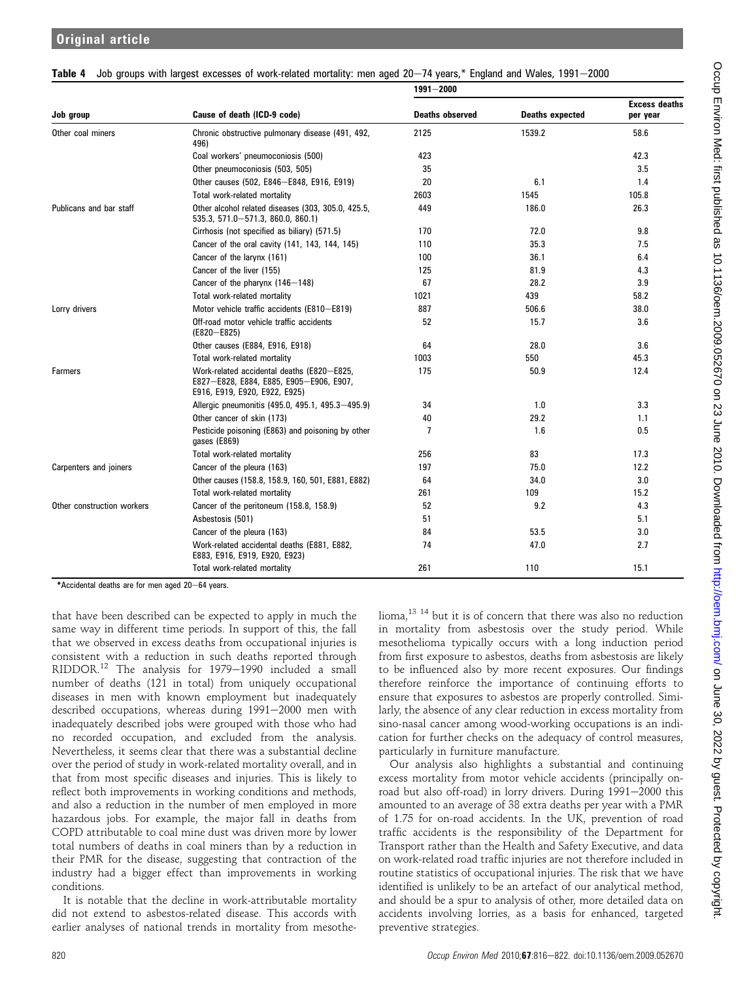|                            |                                                                                                                        | $1991 - 2000$          |                 |                                  |  |  |
|----------------------------|------------------------------------------------------------------------------------------------------------------------|------------------------|-----------------|----------------------------------|--|--|
| Job group                  | Cause of death (ICD-9 code)                                                                                            | <b>Deaths observed</b> | Deaths expected | <b>Excess deaths</b><br>per year |  |  |
| Other coal miners          | Chronic obstructive pulmonary disease (491, 492,<br>496)                                                               | 2125                   | 1539.2          | 58.6                             |  |  |
|                            | Coal workers' pneumoconiosis (500)                                                                                     | 423                    |                 | 42.3                             |  |  |
|                            | Other pneumoconiosis (503, 505)                                                                                        | 35                     |                 | 3.5                              |  |  |
|                            | Other causes (502, E846-E848, E916, E919)                                                                              | 20                     | 6.1             | 1.4                              |  |  |
|                            | Total work-related mortality                                                                                           | 2603                   | 1545            | 105.8                            |  |  |
| Publicans and bar staff    | Other alcohol related diseases (303, 305.0, 425.5,<br>535.3, 571.0-571.3, 860.0, 860.1)                                | 449                    | 186.0           | 26.3                             |  |  |
|                            | Cirrhosis (not specified as biliary) (571.5)                                                                           | 170                    | 72.0            | 9.8                              |  |  |
|                            | Cancer of the oral cavity (141, 143, 144, 145)                                                                         | 110                    | 35.3            | 7.5                              |  |  |
|                            | Cancer of the larynx (161)                                                                                             | 100                    | 36.1            | 6.4                              |  |  |
|                            | Cancer of the liver (155)                                                                                              | 125                    | 81.9            | 4.3                              |  |  |
|                            | Cancer of the pharynx $(146-148)$                                                                                      | 67                     | 28.2            | 3.9                              |  |  |
|                            | Total work-related mortality                                                                                           | 1021                   | 439             | 58.2                             |  |  |
| Lorry drivers              | Motor vehicle traffic accidents (E810-E819)                                                                            | 887                    | 506.6           | 38.0                             |  |  |
|                            | Off-road motor vehicle traffic accidents<br>(E820-E825)                                                                | 52                     | 15.7            | 3.6                              |  |  |
|                            | Other causes (E884, E916, E918)                                                                                        | 64                     | 28.0            | 3.6                              |  |  |
|                            | Total work-related mortality                                                                                           | 1003                   | 550             | 45.3                             |  |  |
| <b>Farmers</b>             | Work-related accidental deaths (E820-E825,<br>E827-E828, E884, E885, E905-E906, E907,<br>E916, E919, E920, E922, E925) | 175                    | 50.9            | 12.4                             |  |  |
|                            | Allergic pneumonitis (495.0, 495.1, 495.3-495.9)                                                                       | 34                     | 1.0             | 3.3                              |  |  |
|                            | Other cancer of skin (173)                                                                                             | 40                     | 29.2            | 1.1                              |  |  |
|                            | Pesticide poisoning (E863) and poisoning by other<br>gases (E869)                                                      | 7                      | 1.6             | 0.5                              |  |  |
|                            | Total work-related mortality                                                                                           | 256                    | 83              | 17.3                             |  |  |
| Carpenters and joiners     | Cancer of the pleura (163)                                                                                             | 197                    | 75.0            | 12.2                             |  |  |
|                            | Other causes (158.8, 158.9, 160, 501, E881, E882)                                                                      | 64                     | 34.0            | 3.0                              |  |  |
|                            | Total work-related mortality                                                                                           | 261                    | 109             | 15.2                             |  |  |
| Other construction workers | Cancer of the peritoneum (158.8, 158.9)                                                                                | 52                     | 9.2             | 4.3                              |  |  |
|                            | Asbestosis (501)                                                                                                       | 51                     |                 | 5.1                              |  |  |
|                            | Cancer of the pleura (163)                                                                                             | 84                     | 53.5            | 3.0                              |  |  |
|                            | Work-related accidental deaths (E881, E882,<br>E883, E916, E919, E920, E923)                                           | 74                     | 47.0            | 2.7                              |  |  |
|                            | Total work-related mortality                                                                                           | 261                    | 110             | 15.1                             |  |  |

Table 4 Job groups with largest excesses of work-related mortality: men aged 20-74 years,\* England and Wales, 1991-2000

\*Accidental deaths are for men aged 20-64 years.

that have been described can be expected to apply in much the same way in different time periods. In support of this, the fall that we observed in excess deaths from occupational injuries is consistent with a reduction in such deaths reported through RIDDOR.<sup>12</sup> The analysis for 1979-1990 included a small number of deaths (121 in total) from uniquely occupational diseases in men with known employment but inadequately described occupations, whereas during 1991-2000 men with inadequately described jobs were grouped with those who had no recorded occupation, and excluded from the analysis. Nevertheless, it seems clear that there was a substantial decline over the period of study in work-related mortality overall, and in that from most specific diseases and injuries. This is likely to reflect both improvements in working conditions and methods, and also a reduction in the number of men employed in more hazardous jobs. For example, the major fall in deaths from COPD attributable to coal mine dust was driven more by lower total numbers of deaths in coal miners than by a reduction in their PMR for the disease, suggesting that contraction of the industry had a bigger effect than improvements in working conditions.

It is notable that the decline in work-attributable mortality did not extend to asbestos-related disease. This accords with earlier analyses of national trends in mortality from mesothelioma,<sup>13</sup> <sup>14</sup> but it is of concern that there was also no reduction in mortality from asbestosis over the study period. While mesothelioma typically occurs with a long induction period from first exposure to asbestos, deaths from asbestosis are likely to be influenced also by more recent exposures. Our findings therefore reinforce the importance of continuing efforts to ensure that exposures to asbestos are properly controlled. Similarly, the absence of any clear reduction in excess mortality from sino-nasal cancer among wood-working occupations is an indication for further checks on the adequacy of control measures, particularly in furniture manufacture.

Our analysis also highlights a substantial and continuing excess mortality from motor vehicle accidents (principally onroad but also off-road) in lorry drivers. During 1991-2000 this amounted to an average of 38 extra deaths per year with a PMR of 1.75 for on-road accidents. In the UK, prevention of road traffic accidents is the responsibility of the Department for Transport rather than the Health and Safety Executive, and data on work-related road traffic injuries are not therefore included in routine statistics of occupational injuries. The risk that we have identified is unlikely to be an artefact of our analytical method, and should be a spur to analysis of other, more detailed data on accidents involving lorries, as a basis for enhanced, targeted preventive strategies.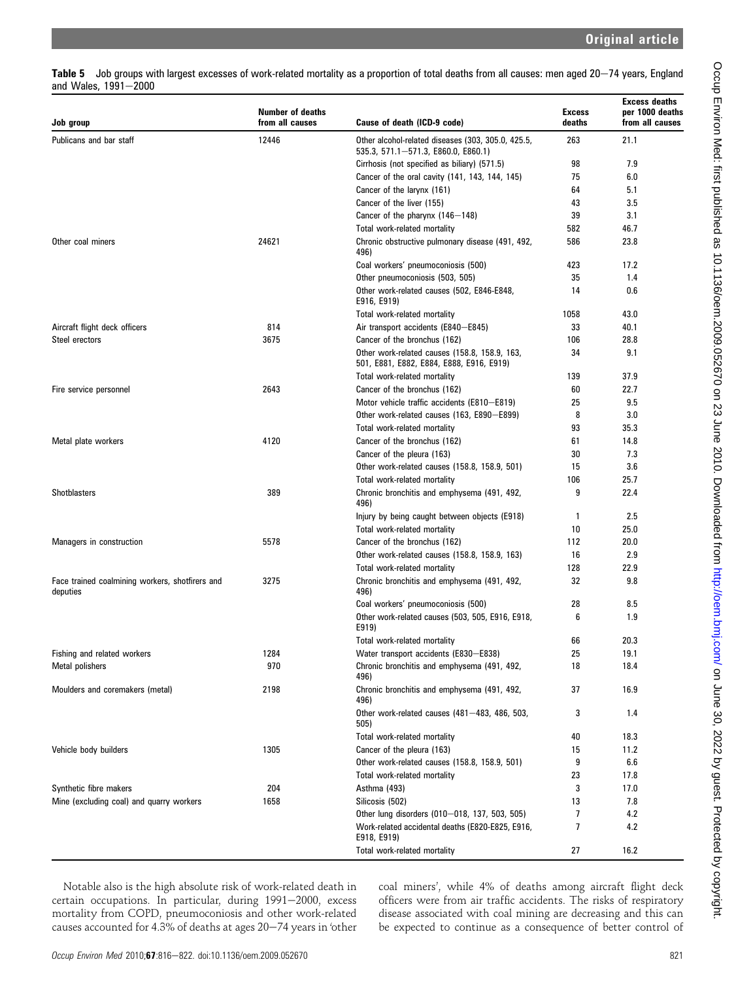Table 5 Job groups with largest excesses of work-related mortality as a proportion of total deaths from all causes: men aged 20-74 years, England and Wales,  $1991 - 2000$ 

| Job group                                                   | <b>Number of deaths</b><br>from all causes | Cause of death (ICD-9 code)                                                                                               | <b>Excess</b><br>deaths | <b>Excess deaths</b><br>per 1000 deaths<br>from all causes |
|-------------------------------------------------------------|--------------------------------------------|---------------------------------------------------------------------------------------------------------------------------|-------------------------|------------------------------------------------------------|
| Publicans and bar staff                                     | 12446                                      | Other alcohol-related diseases (303, 305.0, 425.5,<br>535.3, 571.1-571.3, E860.0, E860.1)                                 | 263                     | 21.1                                                       |
|                                                             |                                            | Cirrhosis (not specified as biliary) (571.5)                                                                              | 98                      | 7.9                                                        |
|                                                             |                                            | Cancer of the oral cavity (141, 143, 144, 145)                                                                            | 75                      | 6.0                                                        |
|                                                             |                                            | Cancer of the larynx (161)                                                                                                | 64                      | 5.1                                                        |
|                                                             |                                            | Cancer of the liver (155)                                                                                                 | 43                      | 3.5                                                        |
|                                                             |                                            | Cancer of the pharynx $(146-148)$                                                                                         | 39                      | 3.1                                                        |
|                                                             |                                            | Total work-related mortality                                                                                              | 582                     | 46.7                                                       |
| Other coal miners                                           | 24621                                      | Chronic obstructive pulmonary disease (491, 492,<br>496)                                                                  | 586                     | 23.8                                                       |
|                                                             |                                            | Coal workers' pneumoconiosis (500)                                                                                        | 423                     | 17.2                                                       |
|                                                             |                                            |                                                                                                                           | 35                      | 1.4                                                        |
|                                                             |                                            | Other pneumoconiosis (503, 505)<br>Other work-related causes (502, E846-E848,<br>E916, E919)                              | 14                      | 0.6                                                        |
|                                                             |                                            | Total work-related mortality                                                                                              | 1058                    | 43.0                                                       |
| Aircraft flight deck officers                               | 814                                        | Air transport accidents (E840–E845)                                                                                       | 33                      | 40.1                                                       |
|                                                             |                                            |                                                                                                                           |                         |                                                            |
| Steel erectors                                              | 3675                                       | Cancer of the bronchus (162)<br>Other work-related causes (158.8, 158.9, 163,<br>501, E881, E882, E884, E888, E916, E919) | 106<br>34               | 28.8<br>9.1                                                |
|                                                             |                                            | Total work-related mortality                                                                                              | 139                     | 37.9                                                       |
| Fire service personnel                                      | 2643                                       | Cancer of the bronchus (162)                                                                                              | 60                      | 22.7                                                       |
|                                                             |                                            | Motor vehicle traffic accidents (E810–E819)                                                                               | 25                      | 9.5                                                        |
|                                                             |                                            | Other work-related causes (163, E890-E899)                                                                                | 8                       | 3.0                                                        |
|                                                             |                                            |                                                                                                                           | 93                      | 35.3                                                       |
|                                                             |                                            | Total work-related mortality                                                                                              |                         |                                                            |
| Metal plate workers                                         | 4120                                       | Cancer of the bronchus (162)                                                                                              | 61                      | 14.8                                                       |
|                                                             |                                            | Cancer of the pleura (163)                                                                                                | 30                      | 7.3                                                        |
|                                                             |                                            | Other work-related causes (158.8, 158.9, 501)                                                                             | 15                      | 3.6                                                        |
| Shotblasters                                                | 389                                        | Total work-related mortality<br>Chronic bronchitis and emphysema (491, 492,<br>496)                                       | 106<br>9                | 25.7<br>22.4                                               |
|                                                             |                                            |                                                                                                                           | 1                       | 2.5                                                        |
|                                                             |                                            | Injury by being caught between objects (E918)                                                                             | 10                      | 25.0                                                       |
|                                                             |                                            | Total work-related mortality                                                                                              |                         |                                                            |
| Managers in construction                                    | 5578                                       | Cancer of the bronchus (162)                                                                                              | 112                     | 20.0                                                       |
|                                                             |                                            | Other work-related causes (158.8, 158.9, 163)                                                                             | 16                      | 2.9                                                        |
|                                                             |                                            | Total work-related mortality                                                                                              | 128                     | 22.9                                                       |
| Face trained coalmining workers, shotfirers and<br>deputies | 3275                                       | Chronic bronchitis and emphysema (491, 492,<br>496)                                                                       | 32                      | 9.8                                                        |
|                                                             |                                            | Coal workers' pneumoconiosis (500)                                                                                        | 28                      | 8.5                                                        |
|                                                             |                                            | Other work-related causes (503, 505, E916, E918,<br>E919)                                                                 | 6                       | 1.9                                                        |
|                                                             |                                            | Total work-related mortality                                                                                              | 66                      | 20.3                                                       |
| Fishing and related workers                                 | 1284                                       | Water transport accidents (E830—E838)                                                                                     | 25                      | 19.1                                                       |
| Metal polishers                                             | 970                                        | Chronic bronchitis and emphysema (491, 492,<br>496)                                                                       | 18                      | 18.4                                                       |
| Moulders and coremakers (metal)                             | 2198                                       | Chronic bronchitis and emphysema (491, 492,<br>496)                                                                       | 37                      | 16.9                                                       |
|                                                             |                                            | Other work-related causes (481-483, 486, 503,<br>505)                                                                     | 3                       | 1.4                                                        |
|                                                             |                                            | Total work-related mortality                                                                                              | 40                      | 18.3                                                       |
| Vehicle body builders                                       | 1305                                       | Cancer of the pleura (163)                                                                                                | 15                      | 11.2                                                       |
|                                                             |                                            | Other work-related causes (158.8, 158.9, 501)                                                                             | 9                       | 6.6                                                        |
|                                                             |                                            | Total work-related mortality                                                                                              | 23                      | 17.8                                                       |
| Synthetic fibre makers                                      | 204                                        | Asthma (493)                                                                                                              | 3                       | 17.0                                                       |
| Mine (excluding coal) and quarry workers                    | 1658                                       | Silicosis (502)                                                                                                           | 13                      | 7.8                                                        |
|                                                             |                                            | Other lung disorders (010-018, 137, 503, 505)                                                                             | 7                       | 4.2                                                        |
|                                                             |                                            | Work-related accidental deaths (E820-E825, E916,<br>E918, E919)                                                           | 7                       | 4.2                                                        |
|                                                             |                                            | Total work-related mortality                                                                                              | 27                      | 16.2                                                       |

Notable also is the high absolute risk of work-related death in certain occupations. In particular, during 1991-2000, excess mortality from COPD, pneumoconiosis and other work-related causes accounted for 4.3% of deaths at ages 20-74 years in 'other

coal miners', while 4% of deaths among aircraft flight deck officers were from air traffic accidents. The risks of respiratory disease associated with coal mining are decreasing and this can be expected to continue as a consequence of better control of